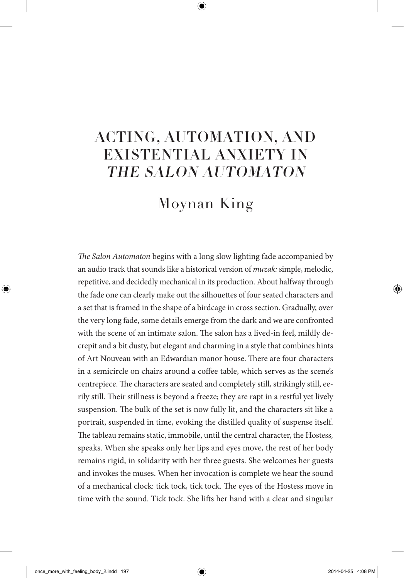## ACTING, AUTOMATION, AND EXISTENTIAL ANXIETY IN THE SALON AUTOMATON

## Moynan King

*The Salon Automaton* begins with a long slow lighting fade accompanied by an audio track that sounds like a historical version of *muzak:* simple, melodic, repetitive, and decidedly mechanical in its production. About halfway through the fade one can clearly make out the silhouettes of four seated characters and a set that is framed in the shape of a birdcage in cross section. Gradually, over the very long fade, some details emerge from the dark and we are confronted with the scene of an intimate salon. The salon has a lived-in feel, mildly decrepit and a bit dusty, but elegant and charming in a style that combines hints of Art Nouveau with an Edwardian manor house. There are four characters in a semicircle on chairs around a coffee table, which serves as the scene's centrepiece. The characters are seated and completely still, strikingly still, eerily still. Their stillness is beyond a freeze; they are rapt in a restful yet lively suspension. The bulk of the set is now fully lit, and the characters sit like a portrait, suspended in time, evoking the distilled quality of suspense itself. The tableau remains static, immobile, until the central character, the Hostess*,* speaks. When she speaks only her lips and eyes move, the rest of her body remains rigid, in solidarity with her three guests. She welcomes her guests and invokes the muses. When her invocation is complete we hear the sound of a mechanical clock: tick tock, tick tock. The eyes of the Hostess move in time with the sound. Tick tock. She lifts her hand with a clear and singular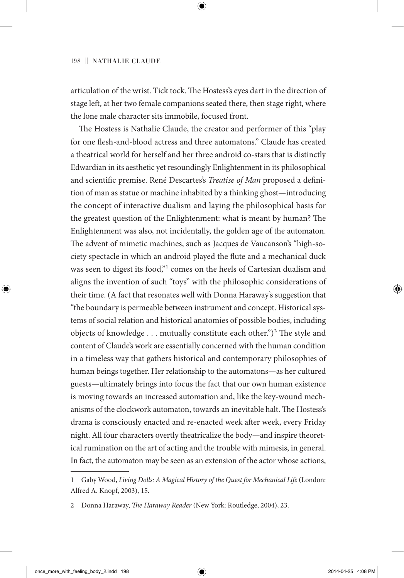articulation of the wrist. Tick tock. The Hostess's eyes dart in the direction of stage left, at her two female companions seated there, then stage right, where the lone male character sits immobile, focused front.

The Hostess is Nathalie Claude, the creator and performer of this "play for one flesh-and-blood actress and three automatons." Claude has created a theatrical world for herself and her three android co-stars that is distinctly Edwardian in its aesthetic yet resoundingly Enlightenment in its philosophical and scientific premise. René Descartes's *Treatise of Man* proposed a definition of man as statue or machine inhabited by a thinking ghost—introducing the concept of interactive dualism and laying the philosophical basis for the greatest question of the Enlightenment: what is meant by human? The Enlightenment was also, not incidentally, the golden age of the automaton. The advent of mimetic machines, such as Jacques de Vaucanson's "high-society spectacle in which an android played the flute and a mechanical duck was seen to digest its food,"<sup>1</sup> comes on the heels of Cartesian dualism and aligns the invention of such "toys" with the philosophic considerations of their time. (A fact that resonates well with Donna Haraway's suggestion that "the boundary is permeable between instrument and concept. Historical systems of social relation and historical anatomies of possible bodies, including objects of knowledge  $\dots$  mutually constitute each other.")<sup>2</sup> The style and content of Claude's work are essentially concerned with the human condition in a timeless way that gathers historical and contemporary philosophies of human beings together. Her relationship to the automatons—as her cultured guests—ultimately brings into focus the fact that our own human existence is moving towards an increased automation and, like the key-wound mechanisms of the clockwork automaton, towards an inevitable halt. The Hostess's drama is consciously enacted and re-enacted week after week, every Friday night. All four characters overtly theatricalize the body—and inspire theoretical rumination on the art of acting and the trouble with mimesis, in general. In fact, the automaton may be seen as an extension of the actor whose actions,

<sup>1</sup> Gaby Wood, *Living Dolls: A Magical History of the Quest for Mechanical Life* (London: Alfred A. Knopf, 2003), 15.

<sup>2</sup> Donna Haraway, *The Haraway Reader* (New York: Routledge, 2004), 23.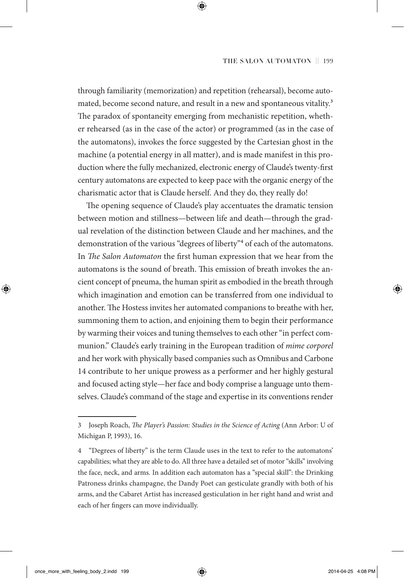through familiarity (memorization) and repetition (rehearsal), become automated, become second nature, and result in a new and spontaneous vitality.<sup>3</sup> The paradox of spontaneity emerging from mechanistic repetition, whether rehearsed (as in the case of the actor) or programmed (as in the case of the automatons), invokes the force suggested by the Cartesian ghost in the machine (a potential energy in all matter), and is made manifest in this production where the fully mechanized, electronic energy of Claude's twenty-first century automatons are expected to keep pace with the organic energy of the charismatic actor that is Claude herself. And they do, they really do!

The opening sequence of Claude's play accentuates the dramatic tension between motion and stillness—between life and death—through the gradual revelation of the distinction between Claude and her machines, and the demonstration of the various "degrees of liberty"4 of each of the automatons. In *The Salon Automaton* the first human expression that we hear from the automatons is the sound of breath. This emission of breath invokes the ancient concept of pneuma, the human spirit as embodied in the breath through which imagination and emotion can be transferred from one individual to another. The Hostess invites her automated companions to breathe with her, summoning them to action, and enjoining them to begin their performance by warming their voices and tuning themselves to each other "in perfect communion." Claude's early training in the European tradition of *mime corporel* and her work with physically based companies such as Omnibus and Carbone 14 contribute to her unique prowess as a performer and her highly gestural and focused acting style—her face and body comprise a language unto themselves. Claude's command of the stage and expertise in its conventions render

<sup>3</sup> Joseph Roach, *The Player's Passion: Studies in the Science of Acting* (Ann Arbor: U of Michigan P, 1993), 16.

<sup>4</sup> "Degrees of liberty" is the term Claude uses in the text to refer to the automatons' capabilities; what they are able to do. All three have a detailed set of motor "skills" involving the face, neck, and arms. In addition each automaton has a "special skill": the Drinking Patroness drinks champagne, the Dandy Poet can gesticulate grandly with both of his arms, and the Cabaret Artist has increased gesticulation in her right hand and wrist and each of her fingers can move individually.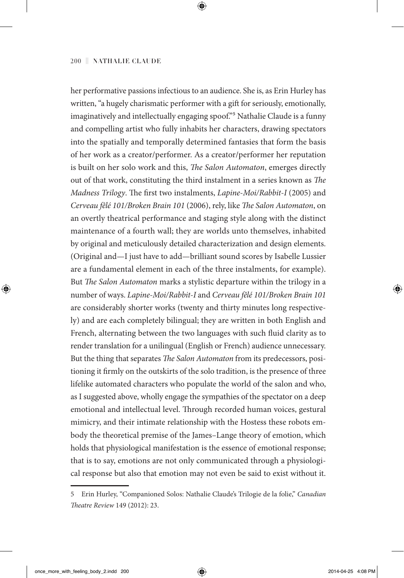her performative passions infectious to an audience. She is, as Erin Hurley has written, "a hugely charismatic performer with a gift for seriously, emotionally, imaginatively and intellectually engaging spoof."5 Nathalie Claude is a funny and compelling artist who fully inhabits her characters, drawing spectators into the spatially and temporally determined fantasies that form the basis of her work as a creator/performer. As a creator/performer her reputation is built on her solo work and this, *The Salon Automaton*, emerges directly out of that work, constituting the third instalment in a series known as *The Madness Trilogy*. The first two instalments, *Lapine-Moi/Rabbit-I* (2005) and *Cerveau fêlé 101/Broken Brain 101* (2006), rely, like *The Salon Automaton*, on an overtly theatrical performance and staging style along with the distinct maintenance of a fourth wall; they are worlds unto themselves, inhabited by original and meticulously detailed characterization and design elements. (Original and—I just have to add—brilliant sound scores by Isabelle Lussier are a fundamental element in each of the three instalments, for example). But *The Salon Automaton* marks a stylistic departure within the trilogy in a number of ways. *Lapine-Moi/Rabbit-I* and *Cerveau fêlé 101/Broken Brain 101* are considerably shorter works (twenty and thirty minutes long respectively) and are each completely bilingual; they are written in both English and French, alternating between the two languages with such fluid clarity as to render translation for a unilingual (English or French) audience unnecessary. But the thing that separates *The Salon Automaton* from its predecessors, positioning it firmly on the outskirts of the solo tradition, is the presence of three lifelike automated characters who populate the world of the salon and who, as I suggested above, wholly engage the sympathies of the spectator on a deep emotional and intellectual level. Through recorded human voices, gestural mimicry, and their intimate relationship with the Hostess these robots embody the theoretical premise of the James–Lange theory of emotion, which holds that physiological manifestation is the essence of emotional response; that is to say, emotions are not only communicated through a physiological response but also that emotion may not even be said to exist without it.

<sup>5</sup> Erin Hurley, "Companioned Solos: Nathalie Claude's Trilogie de la folie," *Canadian Theatre Review* 149 (2012): 23.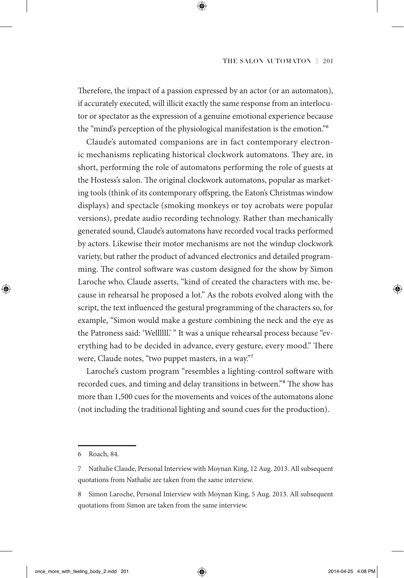Therefore, the impact of a passion expressed by an actor (or an automaton), if accurately executed, will illicit exactly the same response from an interlocutor or spectator as the expression of a genuine emotional experience because the "mind's perception of the physiological manifestation is the emotion."6

Claude's automated companions are in fact contemporary electronic mechanisms replicating historical clockwork automatons. They are, in short, performing the role of automatons performing the role of guests at the Hostess's salon. The original clockwork automatons, popular as marketing tools (think of its contemporary offspring, the Eaton's Christmas window displays) and spectacle (smoking monkeys or toy acrobats were popular versions), predate audio recording technology. Rather than mechanically generated sound, Claude's automatons have recorded vocal tracks performed by actors. Likewise their motor mechanisms are not the windup clockwork variety, but rather the product of advanced electronics and detailed programming. The control software was custom designed for the show by Simon Laroche who, Claude asserts, "kind of created the characters with me, because in rehearsal he proposed a lot." As the robots evolved along with the script, the text influenced the gestural programming of the characters so, for example, "Simon would make a gesture combining the neck and the eye as the Patroness said: 'Wellllll.' " It was a unique rehearsal process because "everything had to be decided in advance, every gesture, every mood." There were, Claude notes, "two puppet masters, in a way."7

Laroche's custom program "resembles a lighting-control software with recorded cues, and timing and delay transitions in between."8 The show has more than 1,500 cues for the movements and voices of the automatons alone (not including the traditional lighting and sound cues for the production).

<sup>6</sup> Roach, 84.

<sup>7</sup> Nathalie Claude, Personal Interview with Moynan King, 12 Aug. 2013. All subsequent quotations from Nathalie are taken from the same interview.

<sup>8</sup> Simon Laroche, Personal Interview with Moynan King, 5 Aug. 2013. All subsequent quotations from Simon are taken from the same interview.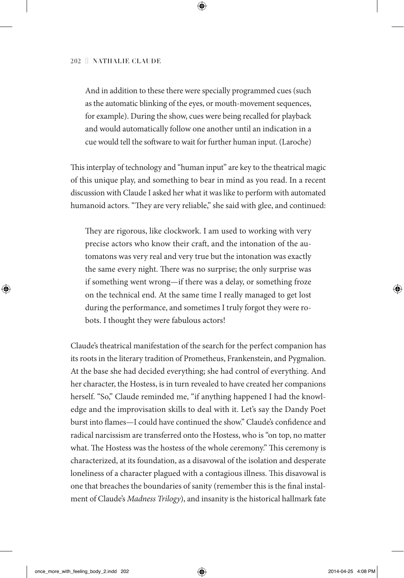And in addition to these there were specially programmed cues (such as the automatic blinking of the eyes, or mouth-movement sequences, for example). During the show, cues were being recalled for playback and would automatically follow one another until an indication in a cue would tell the software to wait for further human input. (Laroche)

This interplay of technology and "human input" are key to the theatrical magic of this unique play, and something to bear in mind as you read. In a recent discussion with Claude I asked her what it was like to perform with automated humanoid actors. "They are very reliable," she said with glee, and continued:

They are rigorous, like clockwork. I am used to working with very precise actors who know their craft, and the intonation of the automatons was very real and very true but the intonation was exactly the same every night. There was no surprise; the only surprise was if something went wrong—if there was a delay, or something froze on the technical end. At the same time I really managed to get lost during the performance, and sometimes I truly forgot they were robots. I thought they were fabulous actors!

Claude's theatrical manifestation of the search for the perfect companion has its roots in the literary tradition of Prometheus, Frankenstein, and Pygmalion. At the base she had decided everything; she had control of everything. And her character, the Hostess, is in turn revealed to have created her companions herself. "So," Claude reminded me, "if anything happened I had the knowledge and the improvisation skills to deal with it. Let's say the Dandy Poet burst into flames—I could have continued the show." Claude's confidence and radical narcissism are transferred onto the Hostess, who is "on top, no matter what. The Hostess was the hostess of the whole ceremony." This ceremony is characterized, at its foundation, as a disavowal of the isolation and desperate loneliness of a character plagued with a contagious illness. This disavowal is one that breaches the boundaries of sanity (remember this is the final instalment of Claude's *Madness Trilogy*), and insanity is the historical hallmark fate